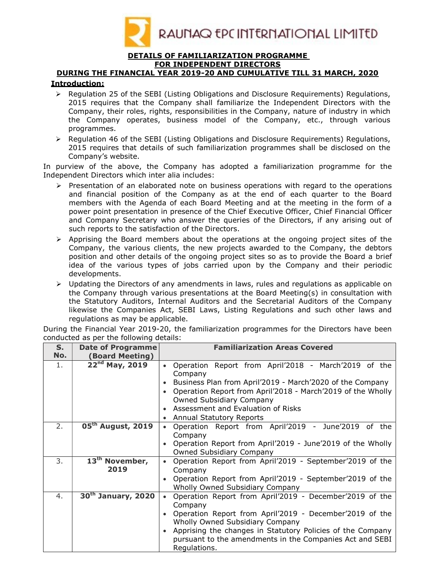

#### DETAILS OF FAMILIARIZATION PROGRAMME FOR INDEPENDENT DIRECTORS

# DURING THE FINANCIAL YEAR 2019-20 AND CUMULATIVE TILL 31 MARCH, 2020

## Introduction:

- $\triangleright$  Regulation 25 of the SEBI (Listing Obligations and Disclosure Requirements) Regulations, 2015 requires that the Company shall familiarize the Independent Directors with the Company, their roles, rights, responsibilities in the Company, nature of industry in which the Company operates, business model of the Company, etc., through various programmes.
- $\triangleright$  Regulation 46 of the SEBI (Listing Obligations and Disclosure Requirements) Regulations, 2015 requires that details of such familiarization programmes shall be disclosed on the Company's website.

In purview of the above, the Company has adopted a familiarization programme for the Independent Directors which inter alia includes:

- $\triangleright$  Presentation of an elaborated note on business operations with regard to the operations and financial position of the Company as at the end of each quarter to the Board members with the Agenda of each Board Meeting and at the meeting in the form of a power point presentation in presence of the Chief Executive Officer, Chief Financial Officer and Company Secretary who answer the queries of the Directors, if any arising out of such reports to the satisfaction of the Directors.
- $\triangleright$  Apprising the Board members about the operations at the ongoing project sites of the Company, the various clients, the new projects awarded to the Company, the debtors position and other details of the ongoing project sites so as to provide the Board a brief idea of the various types of jobs carried upon by the Company and their periodic developments.
- $\triangleright$  Updating the Directors of any amendments in laws, rules and regulations as applicable on the Company through various presentations at the Board Meeting(s) in consultation with the Statutory Auditors, Internal Auditors and the Secretarial Auditors of the Company likewise the Companies Act, SEBI Laws, Listing Regulations and such other laws and regulations as may be applicable.

| S.  | Date of Programme              | <b>Familiarization Areas Covered</b>                                         |  |  |  |  |  |
|-----|--------------------------------|------------------------------------------------------------------------------|--|--|--|--|--|
| No. | <b>(Board Meeting)</b>         |                                                                              |  |  |  |  |  |
| 1.  | $22^{nd}$ May, 2019            | Operation Report from April'2018 - March'2019 of the<br>$\bullet$<br>Company |  |  |  |  |  |
|     |                                | Business Plan from April'2019 - March'2020 of the Company                    |  |  |  |  |  |
|     |                                | Operation Report from April'2018 - March'2019 of the Wholly                  |  |  |  |  |  |
|     |                                | Owned Subsidiary Company                                                     |  |  |  |  |  |
|     |                                | • Assessment and Evaluation of Risks                                         |  |  |  |  |  |
|     |                                | Annual Statutory Reports                                                     |  |  |  |  |  |
| 2.  | 05 <sup>th</sup> August, 2019  | Operation Report from April'2019 - June'2019 of the<br>$\bullet$             |  |  |  |  |  |
|     |                                | Company                                                                      |  |  |  |  |  |
|     |                                | Operation Report from April'2019 - June'2019 of the Wholly                   |  |  |  |  |  |
|     |                                | <b>Owned Subsidiary Company</b>                                              |  |  |  |  |  |
| 3.  | 13 <sup>th</sup> November,     | Operation Report from April'2019 - September'2019 of the                     |  |  |  |  |  |
|     | 2019                           | Company                                                                      |  |  |  |  |  |
|     |                                | Operation Report from April'2019 - September'2019 of the                     |  |  |  |  |  |
|     |                                | Wholly Owned Subsidiary Company                                              |  |  |  |  |  |
| 4.  | 30 <sup>th</sup> January, 2020 | Operation Report from April'2019 - December'2019 of the                      |  |  |  |  |  |
|     |                                | Company                                                                      |  |  |  |  |  |
|     |                                | Operation Report from April'2019 - December'2019 of the                      |  |  |  |  |  |
|     |                                | Wholly Owned Subsidiary Company                                              |  |  |  |  |  |
|     |                                | Apprising the changes in Statutory Policies of the Company                   |  |  |  |  |  |
|     |                                | pursuant to the amendments in the Companies Act and SEBI<br>Regulations.     |  |  |  |  |  |

During the Financial Year 2019-20, the familiarization programmes for the Directors have been conducted as per the following details: